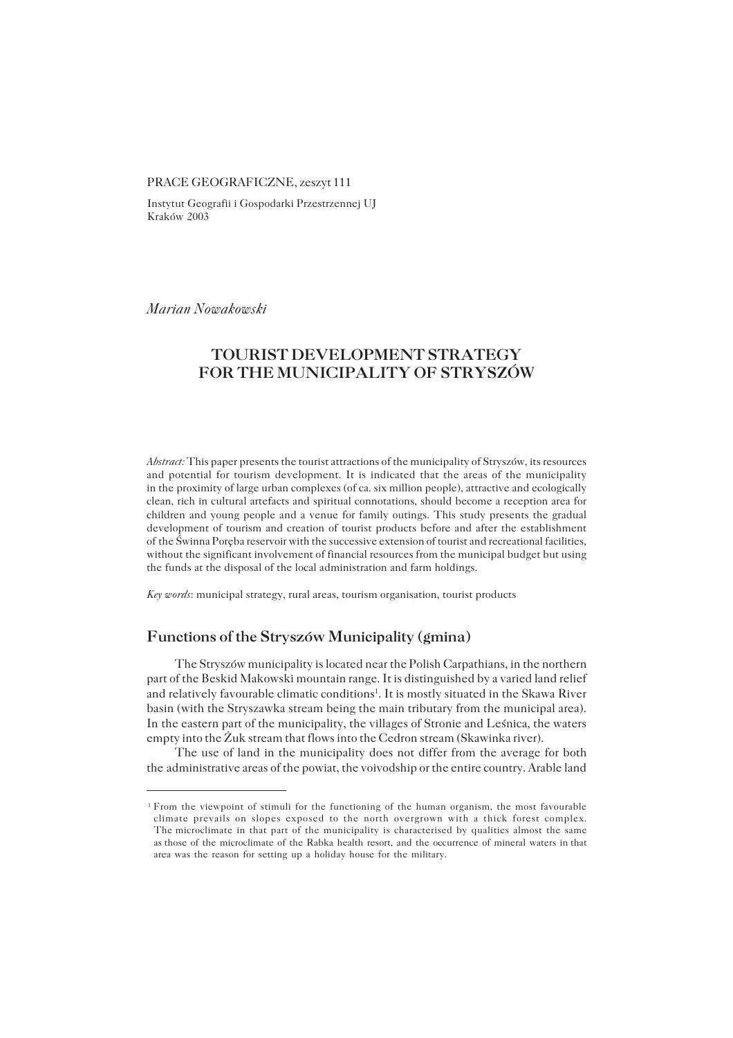#### PRACE GEOGRAFICZNE, zeszyt 111

Instytut Geografii i Gospodarki Przestrzennej UJ Kraków 2003

*Marian Nowakowski*

# **TOURIST DEVELOPMENT STRATEGY FOR THE MUNICIPALITY OF STRYSZÓW**

*Abstract:* This paper presents the tourist attractions of the municipality of Stryszów, its resources and potential for tourism development. It is indicated that the areas of the municipality in the proximity of large urban complexes (of ca. six million people), attractive and ecologically clean, rich in cultural artefacts and spiritual connotations, should become a reception area for children and young people and a venue for family outings. This study presents the gradual development of tourism and creation of tourist products before and after the establishment ofthe Świnna Poręba reservoir with the successive extension of tourist and recreational facilities, without the significant involvement of financial resources from the municipal budget but using the funds at the disposal of the local administration and farm holdings.

*Key words*: municipal strategy, rural areas, tourism organisation, tourist products

### **Functions of the Stryszów Municipality (gmina)**

The Stryszów municipality is located near the Polish Carpathians, in the northern part of the Beskid Makowski mountain range. It is distinguished by a varied land relief and relatively favourable climatic conditions<sup>1</sup>. It is mostly situated in the Skawa River basin (with the Stryszawka stream being the main tributary from the municipal area). In the eastern part of the municipality, the villages of Stronie and Leśnica, the waters empty into the Żuk stream that flows into the Cedron stream (Skawinka river).

The use of land in the municipality does not differ from the average for both the administrative areas of the powiat, the voivodship or the entire country. Arable land

<sup>1</sup>From the viewpoint of stimuli for the functioning of the human organism, the most favourable climate prevails on slopes exposed to the north overgrown with a thick forest complex. The microclimate in that part of the municipality is characterised by qualities almost the same asthose of the microclimate of the Rabka health resort, and the occurrence of mineral waters inthat area was the reason for setting up a holiday house for the military.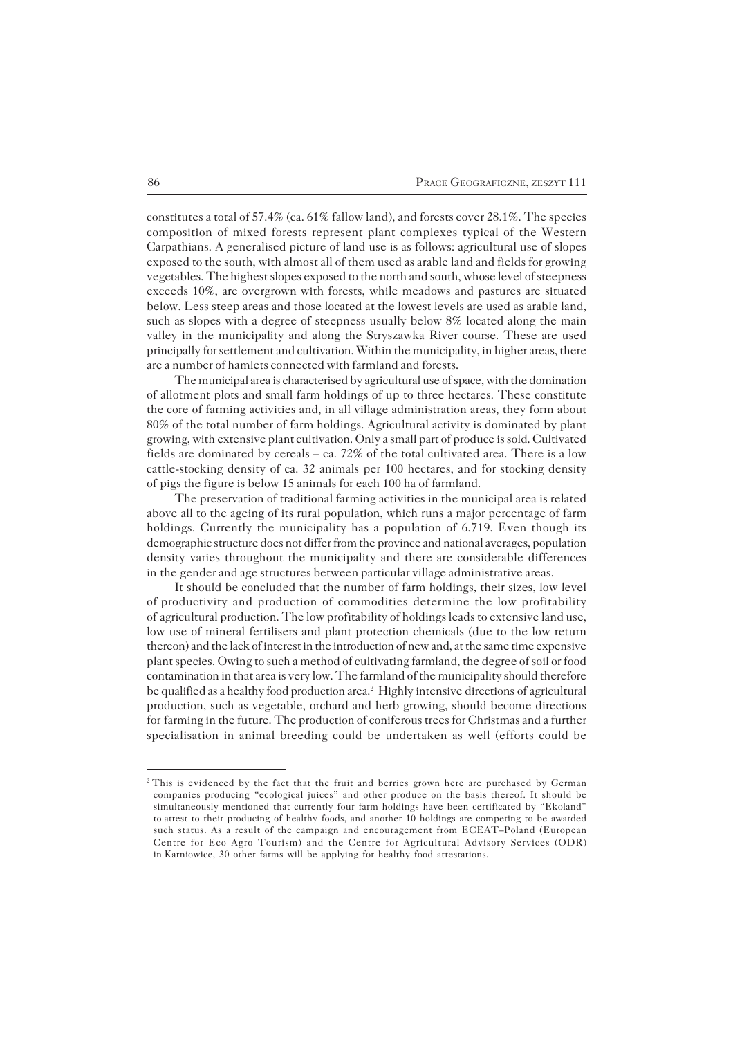constitutes a total of 57.4% (ca. 61% fallow land), and forests cover 28.1%. The species composition of mixed forests represent plant complexes typical of the Western Carpathians. A generalised picture of land use is as follows: agricultural use of slopes exposed to the south, with almost all of them used as arable land and fields for growing vegetables. The highest slopes exposed to the north and south, whose level of steepness exceeds 10%, are overgrown with forests, while meadows and pastures are situated below. Less steep areas and those located at the lowest levels are used as arable land, such as slopes with a degree of steepness usually below 8% located along the main valley in the municipality and along the Stryszawka River course. These are used principally for settlement and cultivation. Within the municipality, in higher areas, there are a number of hamlets connected with farmland and forests.

The municipal area is characterised by agricultural use of space, with the domination of allotment plots and small farm holdings of up to three hectares. These constitute the core of farming activities and, in all village administration areas, they form about 80% of the total number of farm holdings. Agricultural activity is dominated by plant growing, with extensive plant cultivation. Only a small part of produce is sold. Cultivated fields are dominated by cereals – ca. 72% of the total cultivated area. There is a low cattle−stocking density of ca. 32 animals per 100 hectares, and for stocking density of pigs the figure is below 15 animals for each 100 ha of farmland.

The preservation of traditional farming activities in the municipal area is related above all to the ageing of its rural population, which runs a major percentage of farm holdings. Currently the municipality has a population of 6.719. Even though its demographic structure does not differ from the province and national averages, population density varies throughout the municipality and there are considerable differences in the gender and age structures between particular village administrative areas.

It should be concluded that the number of farm holdings, their sizes, low level of productivity and production of commodities determine the low profitability ofagricultural production. The low profitability of holdings leads to extensive land use, low use of mineral fertilisers and plant protection chemicals (due to the low return thereon) and the lack of interest in the introduction of new and, at the same time expensive plant species. Owing to such a method of cultivating farmland, the degree of soil or food contamination in that area is very low. The farmland of the municipality should therefore be qualified as a healthy food production area.<sup>2</sup> Highly intensive directions of agricultural production, such as vegetable, orchard and herb growing, should become directions for farming in the future. The production of coniferous trees for Christmas and a further specialisation in animal breeding could be undertaken as well (efforts could be

<sup>&</sup>lt;sup>2</sup>This is evidenced by the fact that the fruit and berries grown here are purchased by German companies producing "ecological juices" and other produce on the basis thereof. It should be simultaneously mentioned that currently four farm holdings have been certificated by "Ekoland" toattest to their producing of healthy foods, and another 10 holdings are competing to be awarded such status. As a result of the campaign and encouragement from ECEAT–Poland (European Centre for Eco Agro Tourism) and the Centre for Agricultural Advisory Services (ODR) inKarniowice, 30 other farms will be applying for healthy food attestations.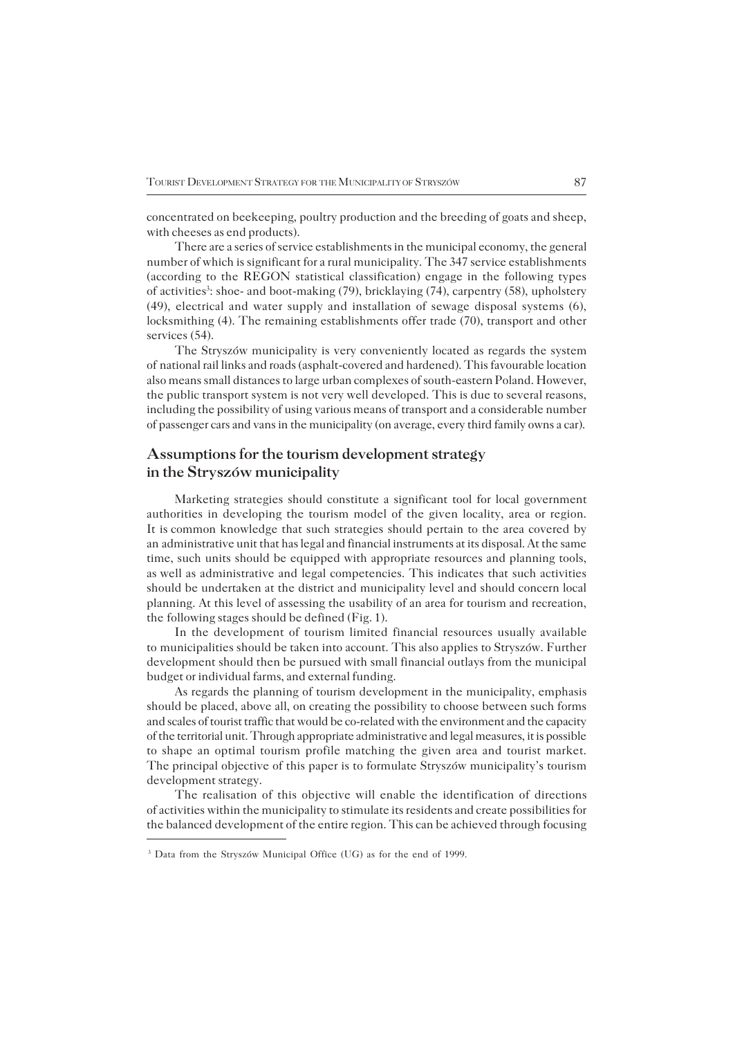concentrated on beekeeping, poultry production and the breeding of goats and sheep, with cheeses as end products).

There are a series of service establishments in the municipal economy, the general number of which is significant for a rural municipality. The 347 service establishments (according to the REGON statistical classification) engage in the following types of activities<sup>3</sup>: shoe- and boot-making (79), bricklaying (74), carpentry (58), upholstery (49), electrical and water supply and installation of sewage disposal systems (6), locksmithing (4). The remaining establishments offer trade (70), transport and other services (54).

The Stryszów municipality is very conveniently located as regards the system ofnational rail links and roads (asphalt−covered and hardened). This favourable location also means small distances to large urban complexes of south−eastern Poland. However, the public transport system is not very well developed. This is due to several reasons, including the possibility of using various means of transport and a considerable number of passenger cars and vans in the municipality (on average, every third family owns a car).

# **Assumptions for the tourism development strategy in the Stryszów municipality**

Marketing strategies should constitute a significant tool for local government authorities in developing the tourism model of the given locality, area or region. It iscommon knowledge that such strategies should pertain to the area covered by anadministrative unit that has legal and financial instruments at its disposal. At the same time, such units should be equipped with appropriate resources and planning tools, aswell as administrative and legal competencies. This indicates that such activities should be undertaken at the district and municipality level and should concern local planning. At this level of assessing the usability of an area for tourism and recreation, the following stages should be defined (Fig. 1).

In the development of tourism limited financial resources usually available tomunicipalities should be taken into account. This also applies to Stryszów. Further development should then be pursued with small financial outlays from the municipal budget or individual farms, and external funding.

As regards the planning of tourism development in the municipality, emphasis should be placed, above all, on creating the possibility to choose between such forms and scales of tourist traffic that would be co−related with the environment and the capacity of the territorial unit. Through appropriate administrative and legal measures, it is possible to shape an optimal tourism profile matching the given area and tourist market. The principal objective of this paper is to formulate Stryszów municipality's tourism development strategy.

The realisation of this objective will enable the identification of directions of activities within the municipality to stimulate its residents and create possibilities for the balanced development of the entire region. This can be achieved through focusing

<sup>3</sup> Data from the Stryszów Municipal Office (UG) as for the end of 1999.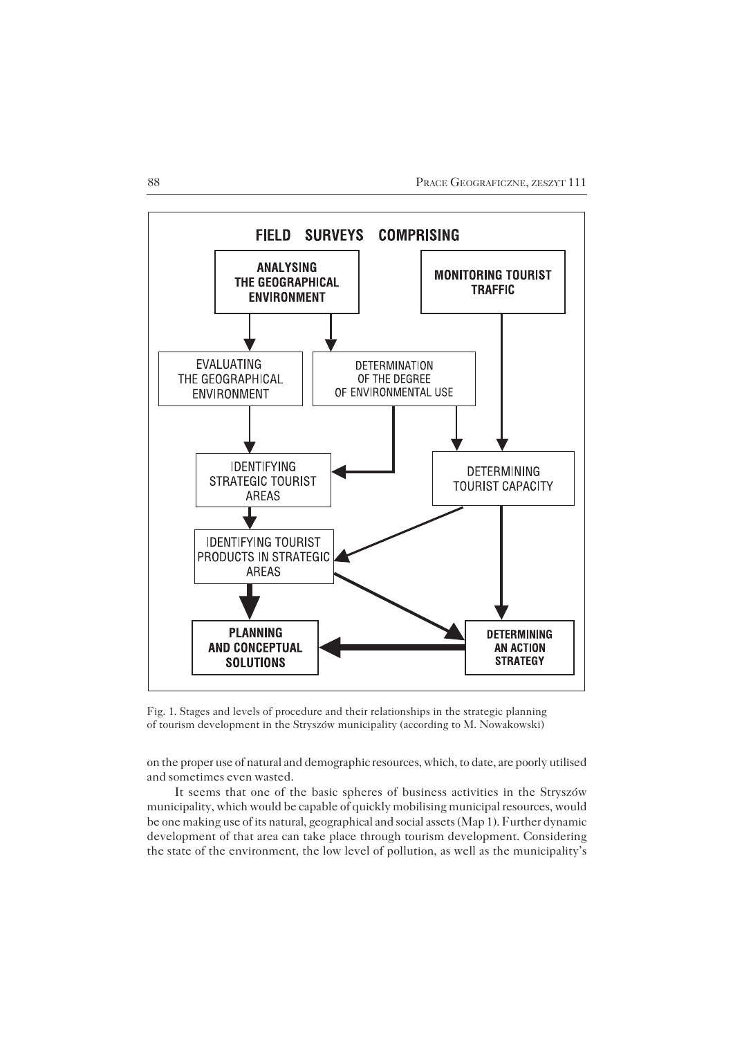

Fig. 1. Stages and levels of procedure and their relationships in the strategic planning of tourism development in the Stryszów municipality (according to M. Nowakowski)

on the proper use of natural and demographic resources, which, to date, are poorly utilised and sometimes even wasted.

It seems that one of the basic spheres of business activities in the Stryszów municipality, which would be capable of quickly mobilising municipal resources, would be one making use of its natural, geographical and social assets (Map 1). Further dynamic development of that area can take place through tourism development. Considering the state of the environment, the low level of pollution, as well as the municipality's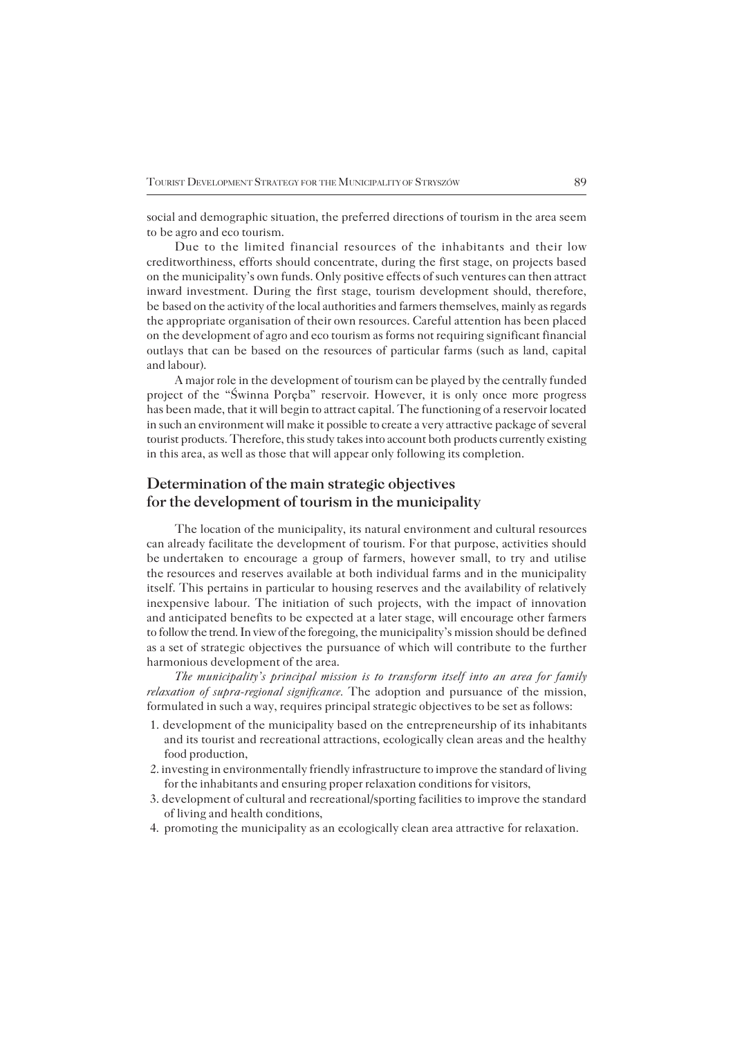social and demographic situation, the preferred directions of tourism in the area seem to be agro and eco tourism.

Due to the limited financial resources of the inhabitants and their low creditworthiness, efforts should concentrate, during the first stage, on projects based onthe municipality's own funds. Only positive effects of such ventures can then attract inward investment. During the first stage, tourism development should, therefore, be based on the activity of the local authorities and farmers themselves, mainly as regards the appropriate organisation of their own resources. Careful attention has been placed onthe development of agro and eco tourism as forms not requiring significant financial outlays that can be based on the resources of particular farms (such as land, capital and labour).

A major role in the development of tourism can be played by the centrally funded project of the "Świnna Poręba" reservoir. However, it is only once more progress has been made, that it will begin to attract capital. The functioning of a reservoir located in such an environment will make it possible to create a very attractive package of several tourist products. Therefore, this study takes into account both products currently existing in this area, as well as those that will appear only following its completion.

# **Determination of the main strategic objectives for the development of tourism in the municipality**

The location of the municipality, its natural environment and cultural resources can already facilitate the development of tourism. For that purpose, activities should be undertaken to encourage a group of farmers, however small, to try and utilise the resources and reserves available at both individual farms and in the municipality itself. This pertains in particular to housing reserves and the availability of relatively inexpensive labour. The initiation of such projects, with the impact of innovation andanticipated benefits to be expected at a later stage, will encourage other farmers to follow the trend. In view of the foregoing, the municipality's mission should be defined as a set of strategic objectives the pursuance of which will contribute to the further harmonious development of the area.

*The municipality's principal mission is to transform itself into an area for family relaxation of supra−regional significance.* The adoption and pursuance of the mission, formulated in such a way, requires principal strategic objectives to be set as follows:

- 1. development of the municipality based on the entrepreneurship of its inhabitants and its tourist and recreational attractions, ecologically clean areas and the healthy food production,
- 2. investing in environmentally friendly infrastructure to improve the standard of living for the inhabitants and ensuring proper relaxation conditions for visitors,
- 3. development of cultural and recreational/sporting facilities to improve the standard of living and health conditions,
- 4. promoting the municipality as an ecologically clean area attractive for relaxation.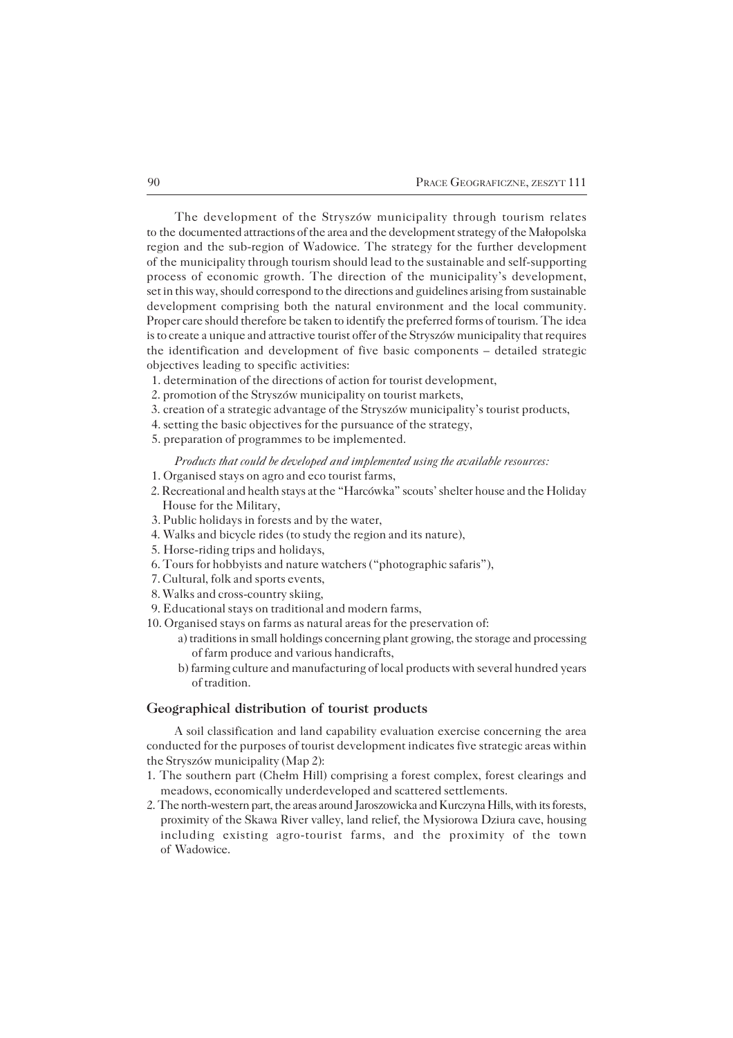The development of the Stryszów municipality through tourism relates to the documented attractions of the area and the development strategy of the Małopolska region and the sub−region of Wadowice. The strategy for the further development of the municipality through tourism should lead to the sustainable and self-supporting process of economic growth. The direction of the municipality's development, set in this way, should correspond to the directions and guidelines arising from sustainable development comprising both the natural environment and the local community. Proper care should therefore be taken to identify the preferred forms of tourism. The idea is to create a unique and attractive tourist offer of the Stryszów municipality that requires the identification and development of five basic components – detailed strategic objectives leading to specific activities:

- 1. determination of the directions of action for tourist development,
- 2. promotion of the Stryszów municipality on tourist markets,
- 3. creation of a strategic advantage of the Stryszów municipality's tourist products,
- 4. setting the basic objectives for the pursuance of the strategy,
- 5. preparation of programmes to be implemented.

#### *Products that could be developed and implemented using the available resources:*

- 1. Organised stays on agro and eco tourist farms,
- 2. Recreational and health stays at the "Harcówka" scouts' shelter house and the Holiday House for the Military,
- 3. Public holidays in forests and by the water,
- 4. Walks and bicycle rides (to study the region and its nature),
- 5. Horse−riding trips and holidays,
- 6. Tours for hobbyists and nature watchers ("photographic safaris"),
- 7. Cultural, folk and sports events,
- 8. Walks and cross−country skiing,
- 9. Educational stays on traditional and modern farms,
- 10. Organised stays on farms as natural areas for the preservation of:
	- a) traditions in small holdings concerning plant growing, the storage and processing of farm produce and various handicrafts,
	- b) farming culture and manufacturing of local products with several hundred years of tradition.

### **Geographical distribution of tourist products**

A soil classification and land capability evaluation exercise concerning the area conducted for the purposes of tourist development indicates five strategic areas within the Stryszów municipality (Map 2):

- 1. The southern part (Chełm Hill) comprising a forest complex, forest clearings and meadows, economically underdeveloped and scattered settlements.
- 2. The north−western part, the areas around Jaroszowicka and Kurczyna Hills, with its forests, proximity of the Skawa River valley, land relief, the Mysiorowa Dziura cave, housing including existing agro−tourist farms, and the proximity of the town of Wadowice.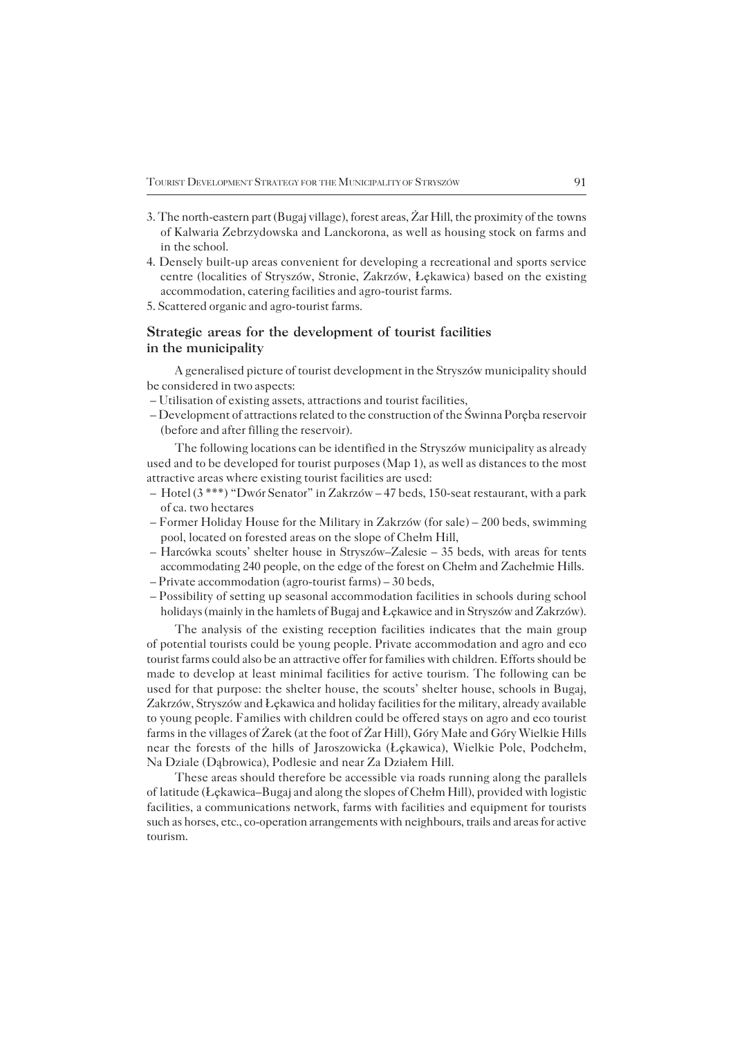- 3. The north-eastern part (Bugaj village), forest areas, Žar Hill, the proximity of the towns of Kalwaria Zebrzydowska and Lanckorona, as well as housing stock on farms and in the school.
- 4. Densely built−up areas convenient for developing a recreational and sports service centre (localities of Stryszów, Stronie, Zakrzów, Łękawica) based on the existing accommodation, catering facilities and agro−tourist farms.
- 5. Scattered organic and agro−tourist farms.

## **Strategic areas for the development of tourist facilities in the municipality**

A generalised picture of tourist development in the Stryszów municipality should be considered in two aspects:

- Utilisation of existing assets, attractions and tourist facilities,
- Development of attractions related to the construction of the Świnna Poręba reservoir (before and after filling the reservoir).

The following locations can be identified in the Stryszów municipality as already used and to be developed for tourist purposes (Map 1), as well as distances to the most attractive areas where existing tourist facilities are used:

- Hotel (3 \*\*\*) "Dwór Senator" in Zakrzów 47 beds, 150−seat restaurant, with a park of ca. two hectares
- Former Holiday House for the Military in Zakrzów (for sale) 200 beds, swimming pool, located on forested areas on the slope of Chełm Hill,
- Harcówka scouts' shelter house in Stryszów–Zalesie 35 beds, with areas for tents accommodating 240 people, on the edge of the forest on Chełm and Zachełmie Hills. – Private accommodation (agro−tourist farms) – 30 beds,
- Possibility of setting up seasonal accommodation facilities in schools during school

holidays (mainly in the hamlets of Bugaj and Łękawice and in Stryszów and Zakrzów).

The analysis of the existing reception facilities indicates that the main group of potential tourists could be young people. Private accommodation and agro and eco tourist farms could also be an attractive offer for families with children. Efforts should be made to develop at least minimal facilities for active tourism. The following can be used for that purpose: the shelter house, the scouts' shelter house, schools in Bugaj, Zakrzów, Stryszów and Łękawica and holiday facilities for the military, already available to young people. Families with children could be offered stays on agro and eco tourist farms in the villages of Żarek (at the foot of Żar Hill), Góry Małe and Góry Wielkie Hills near the forests of the hills of Jaroszowicka (Łękawica), Wielkie Pole, Podchełm, Na Dziale (Dąbrowica), Podlesie and near Za Działem Hill.

These areas should therefore be accessible via roads running along the parallels oflatitude (Łękawica–Bugaj and along the slopes of Chełm Hill), provided with logistic facilities, a communications network, farms with facilities and equipment for tourists such as horses, etc., co−operation arrangements with neighbours, trails and areas for active tourism.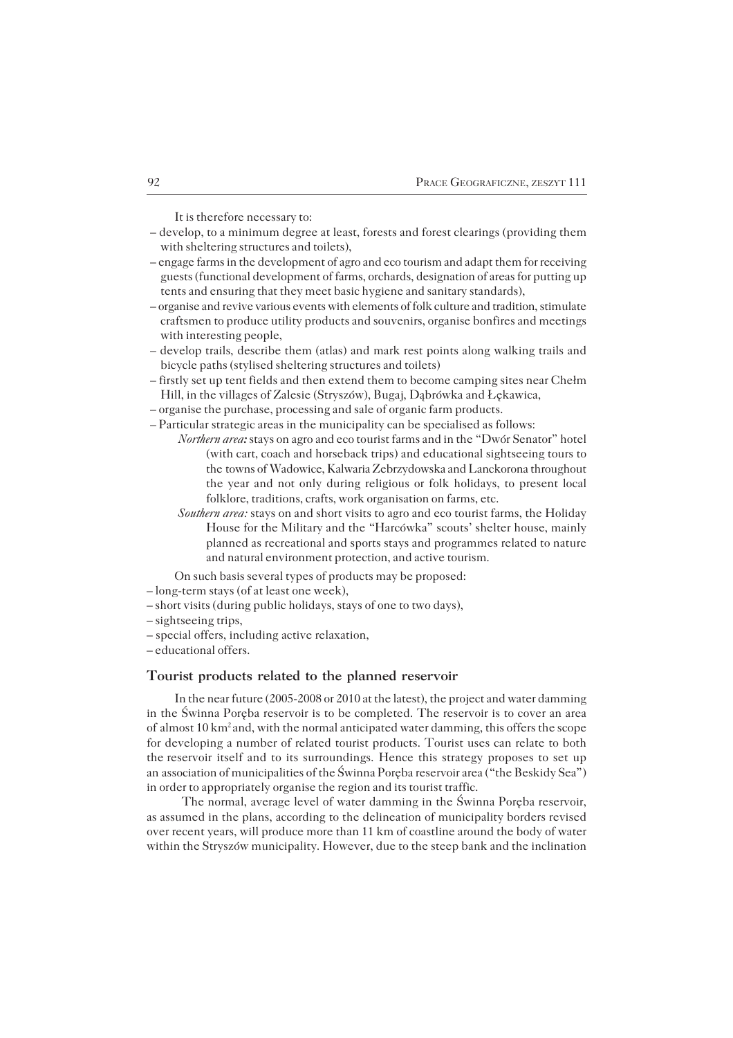It is therefore necessary to:

- develop, to a minimum degree at least, forests and forest clearings (providing them with sheltering structures and toilets),
- engage farms in the development of agro and eco tourism and adapt them for receiving guests (functional development of farms, orchards, designation of areas for putting up tents and ensuring that they meet basic hygiene and sanitary standards),
- organise and revive various events with elements of folk culture and tradition, stimulate craftsmen to produce utility products and souvenirs, organise bonfires and meetings with interesting people,
- develop trails, describe them (atlas) and mark rest points along walking trails and bicycle paths (stylised sheltering structures and toilets)
- firstly set up tent fields and then extend them to become camping sites near Chełm Hill, in the villages of Zalesie (Stryszów), Bugaj, Dąbrówka and Łękawica,
- organise the purchase, processing and sale of organic farm products.
- Particular strategic areas in the municipality can be specialised as follows:
	- *Northern area:* stays on agro and eco tourist farms and in the "Dwór Senator" hotel (with cart, coach and horseback trips) and educational sightseeing tours to the towns of Wadowice, Kalwaria Zebrzydowska and Lanckorona throughout the year and not only during religious or folk holidays, to present local folklore, traditions, crafts, work organisation on farms, etc.
		- *Southern area:* stays on and short visits to agro and eco tourist farms, the Holiday House for the Military and the "Harcówka" scouts' shelter house, mainly planned as recreational and sports stays and programmes related to nature and natural environment protection, and active tourism.
	- On such basis several types of products may be proposed:
- long−term stays (of at least one week),
- short visits (during public holidays, stays of one to two days),
- sightseeing trips,
- special offers, including active relaxation,
- educational offers.

### **Tourist products related to the planned reservoir**

In the near future (2005−2008 or 2010 at the latest), the project and water damming in the Świnna Poręba reservoir is to be completed. The reservoir is to cover an area ofalmost 10 km2 and, with the normal anticipated water damming, this offers the scope for developing a number of related tourist products. Tourist uses can relate to both the reservoir itself and to its surroundings. Hence this strategy proposes to set up an association of municipalities of the Świnna Poręba reservoir area ("the Beskidy Sea") in order to appropriately organise the region and its tourist traffic.

The normal, average level of water damming in the Świnna Poręba reservoir, asassumed in the plans, according to the delineation of municipality borders revised over recent years, will produce more than 11 km of coastline around the body of water within the Stryszów municipality. However, due to the steep bank and the inclination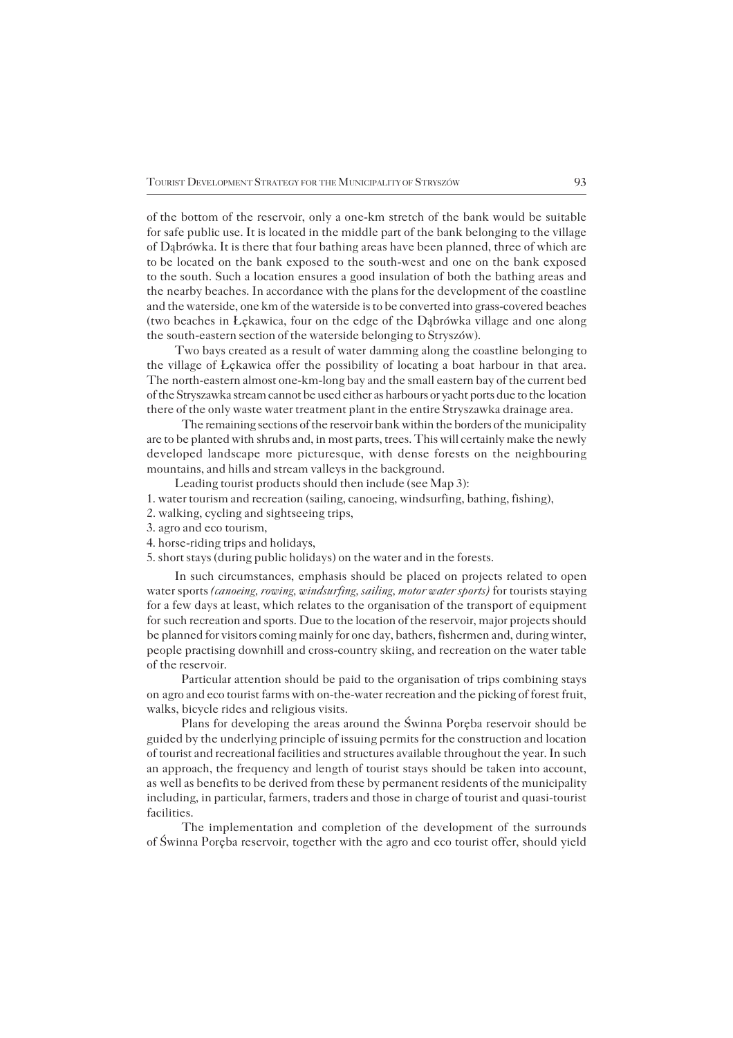ofthe bottom of the reservoir, only a one−km stretch of the bank would be suitable forsafe public use. It is located in the middle part of the bank belonging to the village ofDąbrówka. It is there that four bathing areas have been planned, three of which are tobe located on the bank exposed to the south−west and one on the bank exposed to the south. Such a location ensures a good insulation of both the bathing areas and the nearby beaches. In accordance with the plans for the development of the coastline and the waterside, one km of the waterside is to be converted into grass−covered beaches (two beaches in Łękawica, four on the edge of the Dąbrówka village and one along the south-eastern section of the waterside belonging to Stryszów).

Two bays created as a result of water damming along the coastline belonging to the village of Łękawica offer the possibility of locating a boat harbour in that area. The north-eastern almost one-km-long bay and the small eastern bay of the current bed of the Stryszawka stream cannot be used either as harbours or yacht ports due to thelocation there of the only waste water treatment plant in the entire Stryszawka drainage area.

The remaining sections of the reservoir bank within the borders of the municipality are to be planted with shrubs and, in most parts, trees. This will certainly make the newly developed landscape more picturesque, with dense forests on the neighbouring mountains, and hills and stream valleys in the background.

Leading tourist products should then include (see Map 3):

- 1. water tourism and recreation (sailing, canoeing, windsurfing, bathing, fishing),
- 2. walking, cycling and sightseeing trips,
- 3. agro and eco tourism,
- 4. horse−riding trips and holidays,
- 5. short stays (during public holidays) on the water and in the forests.

In such circumstances, emphasis should be placed on projects related to open water sports *(canoeing, rowing, windsurfing, sailing, motor water sports)* for tourists staying for a few days at least, which relates to the organisation of the transport of equipment for such recreation and sports. Due to the location of the reservoir, major projects should be planned for visitors coming mainly for one day, bathers, fishermen and, during winter, people practising downhill and cross−country skiing, and recreation on the water table of the reservoir.

Particular attention should be paid to the organisation of trips combining stays onagro and eco tourist farms with on−the−water recreation and the picking of forest fruit, walks, bicycle rides and religious visits.

Plans for developing the areas around the Świnna Poręba reservoir should be guided by the underlying principle of issuing permits for the construction and location of tourist and recreational facilities and structures available throughout the year. In such an approach, the frequency and length of tourist stays should be taken into account, aswell as benefits to be derived from these by permanent residents of the municipality including, in particular, farmers, traders and those in charge of tourist and quasi−tourist facilities.

The implementation and completion of the development of the surrounds of Swinna Poreba reservoir, together with the agro and eco tourist offer, should yield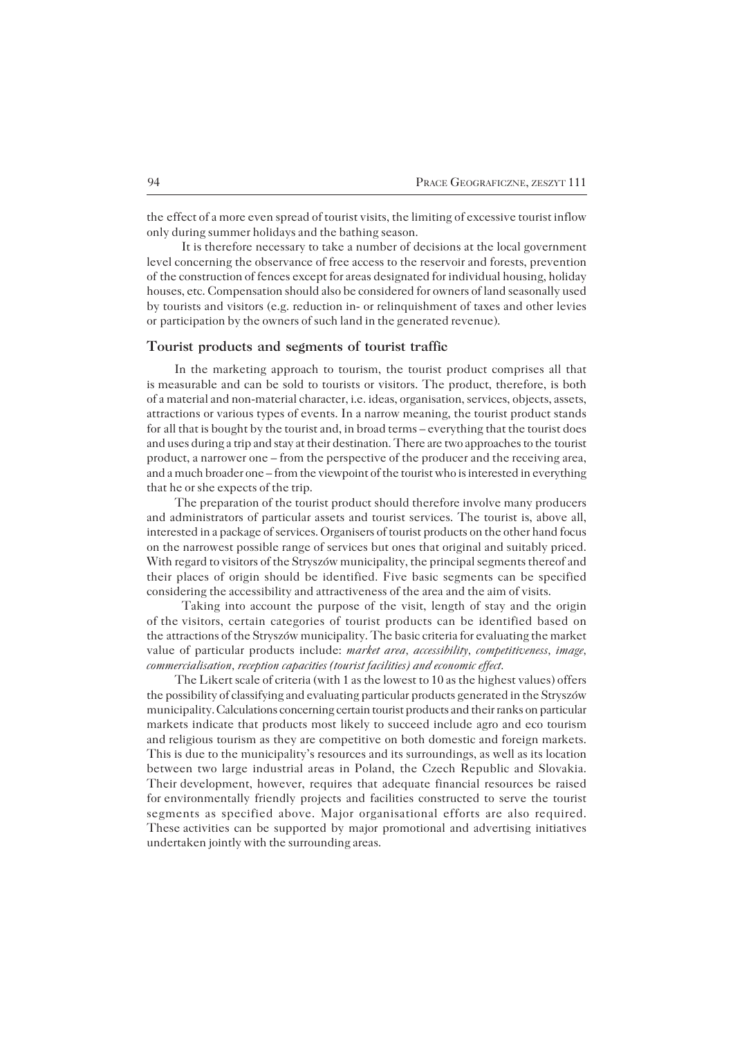the effect of a more even spread of tourist visits, the limiting of excessive tourist inflow only during summer holidays and the bathing season.

It is therefore necessary to take a number of decisions at the local government level concerning the observance of free access to the reservoir and forests, prevention of the construction of fences except for areas designated for individual housing, holiday houses, etc. Compensation should also be considered for owners of land seasonally used by tourists and visitors (e.g. reduction in− or relinquishment of taxes and other levies or participation by the owners of such land in the generated revenue).

### **Tourist products and segments of tourist traffic**

In the marketing approach to tourism, the tourist product comprises all that ismeasurable and can be sold to tourists or visitors. The product, therefore, is both of a material and non−material character, i.e. ideas, organisation, services, objects, assets, attractions or various types of events. In a narrow meaning, the tourist product stands for all that is bought by the tourist and, in broad terms – everything that the tourist does and uses during a trip and stay at their destination. There are two approaches to the tourist product, a narrower one – from the perspective of the producer and the receiving area, and a much broader one – from the viewpoint of the tourist who is interested in everything that he or she expects of the trip.

The preparation of the tourist product should therefore involve many producers and administrators of particular assets and tourist services. The tourist is, above all, interested in a package of services. Organisers of tourist products on the other hand focus on the narrowest possible range of services but ones that original and suitably priced. With regard to visitors of the Stryszów municipality, the principal segments thereof and their places of origin should be identified. Five basic segments can be specified considering the accessibility and attractiveness of the area and the aim of visits.

Taking into account the purpose of the visit, length of stay and the origin of the visitors, certain categories of tourist products can be identified based on the attractions of the Stryszów municipality. The basic criteria for evaluating the market value of particular products include: *market area, accessibility, competitiveness, image, commercialisation, reception capacities (tourist facilities) and economic effect.*

The Likert scale of criteria (with 1 as the lowest to 10 as the highest values) offers the possibility of classifying and evaluating particular products generated in the Stryszów municipality.Calculations concerning certain tourist products and their ranks on particular markets indicate that products most likely to succeed include agro and eco tourism and religious tourism as they are competitive on both domestic and foreign markets. This is due to the municipality's resources and its surroundings, as well as its location between two large industrial areas in Poland, the Czech Republic and Slovakia. Their development, however, requires that adequate financial resources be raised forenvironmentally friendly projects and facilities constructed to serve the tourist segments as specified above. Major organisational efforts are also required. These activities can be supported by major promotional and advertising initiatives undertaken jointly with the surrounding areas.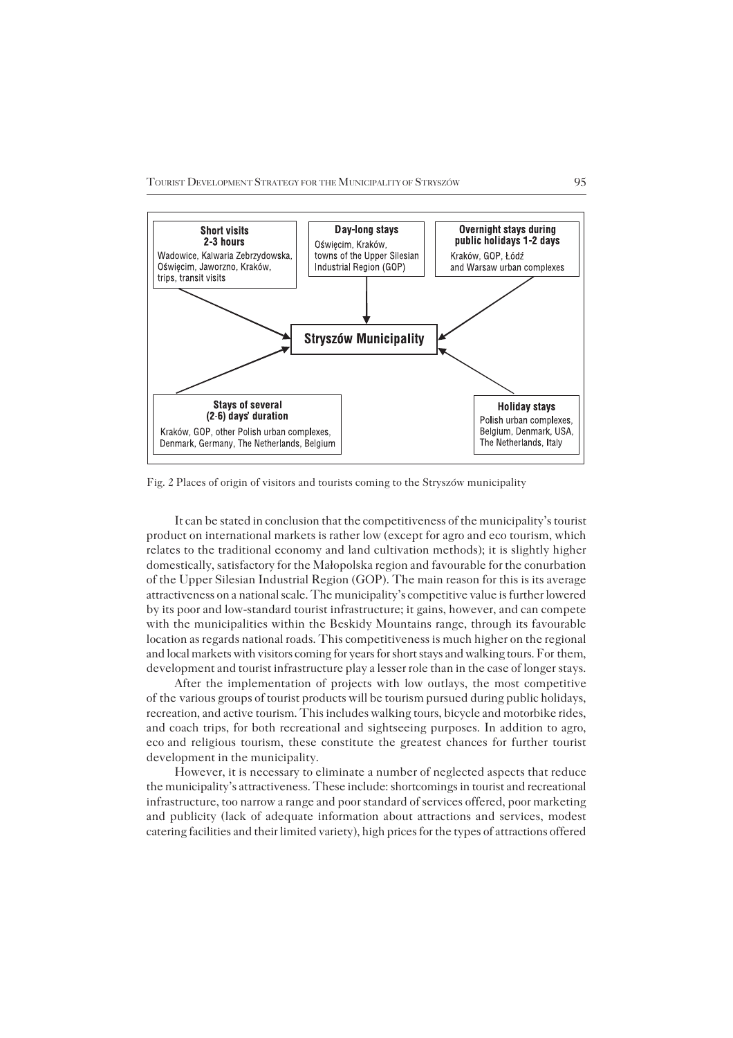TOURIST DEVELOPMENT STRATEGY FOR THE MUNICIPALITY OF STRYSZÓW 95



Fig. 2 Places of origin of visitors and tourists coming to the Stryszów municipality

It can be stated in conclusion that the competitiveness of the municipality's tourist product on international markets is rather low (except for agro and eco tourism, which relates to the traditional economy and land cultivation methods); it is slightly higher domestically, satisfactory for the Małopolska region and favourable for the conurbation of the Upper Silesian Industrial Region (GOP). The main reason for this is its average attractiveness on a national scale. The municipality's competitive value is further lowered by its poor and low−standard tourist infrastructure; it gains, however, and can compete with the municipalities within the Beskidy Mountains range, through its favourable location as regards national roads. This competitiveness is much higher on the regional and local markets with visitors coming for years for short stays and walking tours. For them, development and tourist infrastructure play a lesser role than in the case of longer stays.

After the implementation of projects with low outlays, the most competitive of the various groups of tourist products will be tourism pursued during public holidays, recreation, and active tourism. This includes walking tours, bicycle and motorbike rides, and coach trips, for both recreational and sightseeing purposes. In addition to agro, ecoand religious tourism, these constitute the greatest chances for further tourist development in the municipality.

However, it is necessary to eliminate a number of neglected aspects that reduce the municipality's attractiveness. These include: shortcomings in tourist and recreational infrastructure, too narrow a range and poor standard of services offered, poor marketing and publicity (lack of adequate information about attractions and services, modest catering facilities and their limited variety), high prices for the types of attractions offered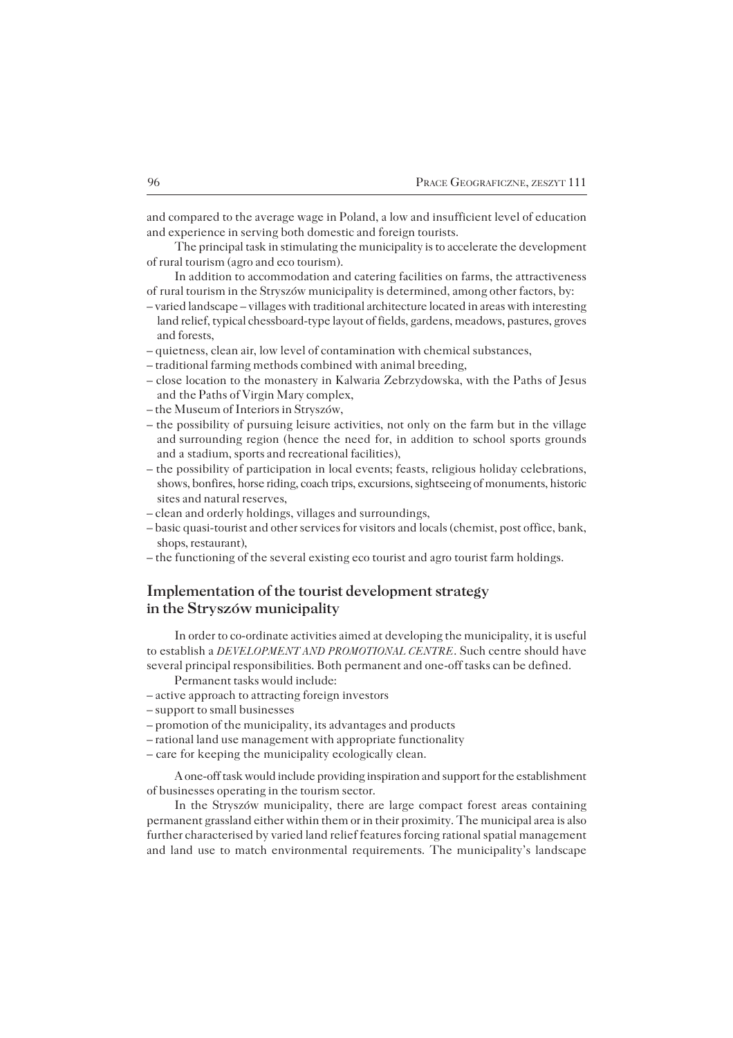and compared to the average wage in Poland, a low and insufficient level of education and experience in serving both domestic and foreign tourists.

The principal task in stimulating the municipality is to accelerate the development of rural tourism (agro and eco tourism).

In addition to accommodation and catering facilities on farms, the attractiveness of rural tourism in the Stryszów municipality is determined, among other factors, by:

- varied landscape villages with traditional architecture located in areas with interesting land relief, typical chessboard−type layout of fields, gardens, meadows, pastures, groves and forests,
- quietness, clean air, low level of contamination with chemical substances,
- traditional farming methods combined with animal breeding,
- close location to the monastery in Kalwaria Zebrzydowska, with the Paths of Jesus and the Paths of Virgin Mary complex,
- the Museum of Interiors in Stryszów,
- the possibility of pursuing leisure activities, not only on the farm but in the village and surrounding region (hence the need for, in addition to school sports grounds and a stadium, sports and recreational facilities),
- the possibility of participation in local events; feasts, religious holiday celebrations, shows, bonfires, horse riding, coach trips, excursions, sightseeing of monuments, historic sites and natural reserves,
- clean and orderly holdings, villages and surroundings,
- basic quasi−tourist and other services for visitors and locals (chemist, post office, bank, shops, restaurant),
- the functioning of the several existing eco tourist and agro tourist farm holdings.

# **Implementation of the tourist development strategy in the Stryszów municipality**

In order to co−ordinate activities aimed at developing the municipality, it is useful to establish a *DEVELOPMENT AND PROMOTIONAL CENTRE*. Such centre should have several principal responsibilities. Both permanent and one−off tasks can be defined.

- Permanent tasks would include:
- active approach to attracting foreign investors
- support to small businesses
- promotion of the municipality, its advantages and products
- rational land use management with appropriate functionality
- care for keeping the municipality ecologically clean.

A one−off task would include providing inspiration and support for the establishment of businesses operating in the tourism sector.

In the Stryszów municipality, there are large compact forest areas containing permanent grassland either within them or in their proximity. The municipal area is also further characterised by varied land relief features forcing rational spatial management and land use to match environmental requirements. The municipality's landscape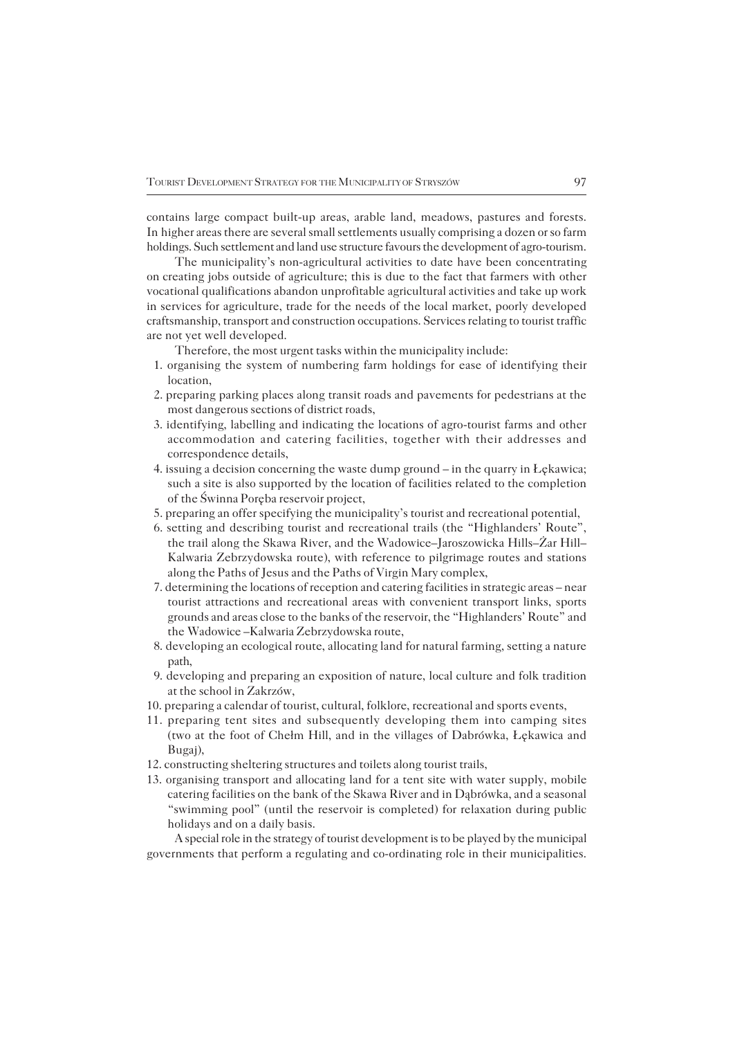contains large compact built−up areas, arable land, meadows, pastures and forests. In higher areas there are several small settlements usually comprising a dozen or so farm holdings. Such settlement and land use structure favours the development of agro−tourism.

The municipality's non−agricultural activities to date have been concentrating oncreating jobs outside of agriculture; this is due to the fact that farmers with other vocational qualifications abandon unprofitable agricultural activities and take up work in services for agriculture, trade for the needs of the local market, poorly developed craftsmanship, transport and construction occupations. Services relating to tourist traffic are not yet well developed.

Therefore, the most urgent tasks within the municipality include:

- 1. organising the system of numbering farm holdings for ease of identifying their location,
- 2. preparing parking places along transit roads and pavements for pedestrians at the most dangerous sections of district roads,
- 3. identifying, labelling and indicating the locations of agro−tourist farms and other accommodation and catering facilities, together with their addresses and correspondence details,
- 4. issuing a decision concerning the waste dump ground in the quarry in Łękawica; such a site is also supported by the location of facilities related to the completion of the Świnna Poręba reservoir project,
- 5. preparing an offer specifying the municipality's tourist and recreational potential,
- 6. setting and describing tourist and recreational trails (the "Highlanders' Route", the trail along the Skawa River, and the Wadowice–Jaroszowicka Hills–Żar Hill– Kalwaria Zebrzydowska route), with reference to pilgrimage routes and stations along the Paths of Jesus and the Paths of Virgin Mary complex,
- 7. determining the locations of reception and catering facilities in strategic areas near tourist attractions and recreational areas with convenient transport links, sports grounds and areas close to the banks of the reservoir, the "Highlanders' Route" and the Wadowice – Kalwaria Zebrzydowska route,
- 8. developing an ecological route, allocating land for natural farming, setting a nature path,
- 9. developing and preparing an exposition of nature, local culture and folk tradition at the school in Zakrzów,
- 10. preparing a calendar of tourist, cultural, folklore, recreational and sports events,
- 11. preparing tent sites and subsequently developing them into camping sites (two at the foot of Chełm Hill, and in the villages of Dabrówka, Łękawica and Bugaj),
- 12. constructing sheltering structures and toilets along tourist trails,
- 13. organising transport and allocating land for a tent site with water supply, mobile catering facilities on the bank of the Skawa River and in Dąbrówka, and a seasonal "swimming pool" (until the reservoir is completed) for relaxation during public holidays and on a daily basis.

A special role in the strategy of tourist development is to be played by the municipal governments that perform a regulating and co−ordinating role in their municipalities.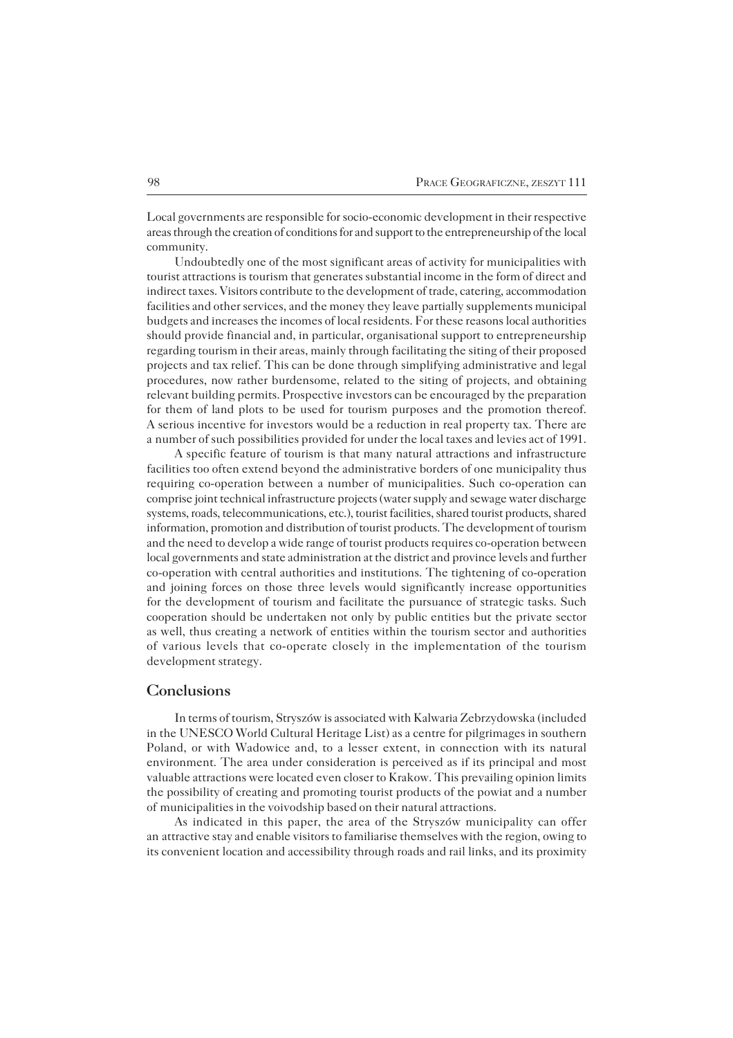Local governments are responsible for socio−economic development in their respective areas through the creation of conditions for and support to the entrepreneurship of thelocal community.

Undoubtedly one of the most significant areas of activity for municipalities with tourist attractions is tourism that generates substantial income in the form of direct and indirect taxes. Visitors contribute to the development of trade, catering, accommodation facilities and other services, and the money they leave partially supplements municipal budgets and increases the incomes of local residents. For these reasons local authorities should provide financial and, in particular, organisational support to entrepreneurship regarding tourism in their areas, mainly through facilitating the siting of their proposed projects and tax relief. This can be done through simplifying administrative and legal procedures, now rather burdensome, related to the siting of projects, and obtaining relevant building permits. Prospective investors can be encouraged by the preparation for them of land plots to be used for tourism purposes and the promotion thereof. A serious incentive for investors would be a reduction in real property tax. There are anumber of such possibilities provided for under the local taxes and levies act of 1991.

A specific feature of tourism is that many natural attractions and infrastructure facilities too often extend beyond the administrative borders of one municipality thus requiring co−operation between a number of municipalities. Such co−operation can comprise joint technical infrastructure projects (water supply and sewage water discharge systems, roads, telecommunications, etc.), tourist facilities, shared tourist products, shared information, promotion and distribution of tourist products. The development of tourism and the need to develop a wide range of tourist products requires co−operation between local governments and state administration at the district and province levels and further co−operation with central authorities and institutions. The tightening of co−operation and joining forces on those three levels would significantly increase opportunities for the development of tourism and facilitate the pursuance of strategic tasks. Such cooperation should be undertaken not only by public entities but the private sector as well, thus creating a network of entities within the tourism sector and authorities of various levels that co−operate closely in the implementation of the tourism development strategy.

### **Conclusions**

In terms of tourism, Stryszów is associated with Kalwaria Zebrzydowska (included in the UNESCO World Cultural Heritage List) as a centre for pilgrimages in southern Poland, or with Wadowice and, to a lesser extent, in connection with its natural environment. The area under consideration is perceived as if its principal and most valuable attractions were located even closer to Krakow. This prevailing opinion limits the possibility of creating and promoting tourist products of the powiat and a number ofmunicipalities in the voivodship based on their natural attractions.

As indicated in this paper, the area of the Stryszów municipality can offer anattractive stay and enable visitors to familiarise themselves with the region, owing to its convenient location and accessibility through roads and rail links, and its proximity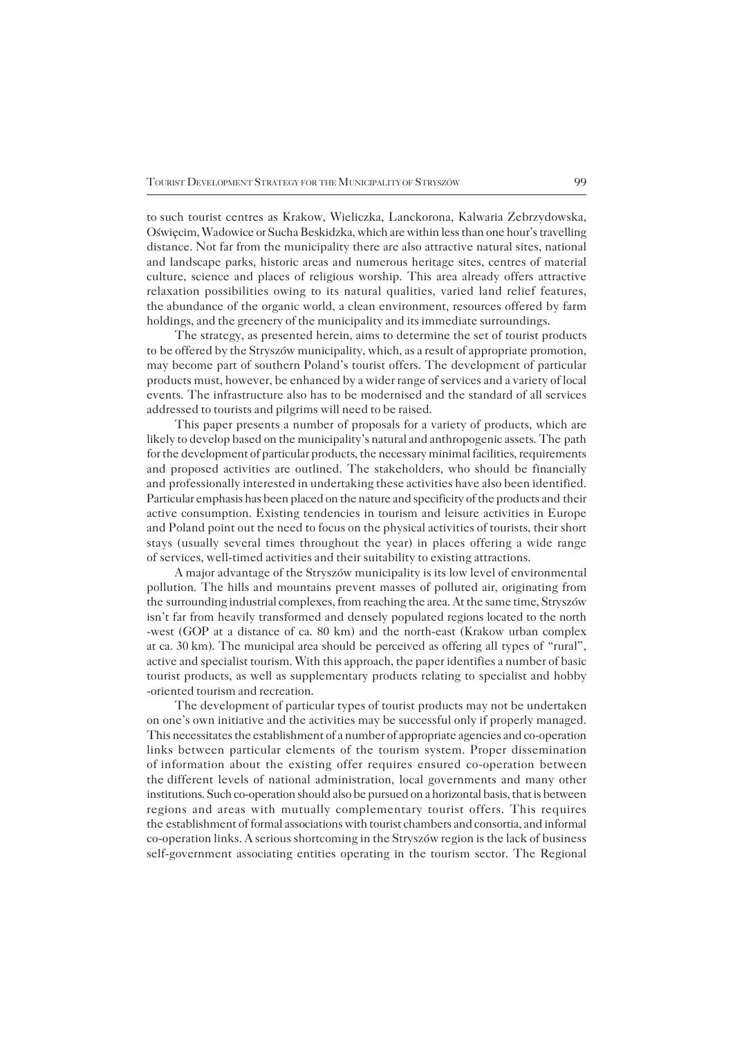tosuch tourist centres as Krakow, Wieliczka, Lanckorona, Kalwaria Zebrzydowska, Oświęcim, Wadowice or Sucha Beskidzka, which are within less than one hour's travelling distance. Not far from the municipality there are also attractive natural sites, national and landscape parks, historic areas and numerous heritage sites, centres of material culture, science and places of religious worship. This area already offers attractive relaxation possibilities owing to its natural qualities, varied land relief features, the abundance of the organic world, a clean environment, resources offered by farm holdings, and the greenery of the municipality and its immediate surroundings.

The strategy, as presented herein, aims to determine the set of tourist products to be offered by the Stryszów municipality, which, as a result of appropriate promotion, may become part of southern Poland's tourist offers. The development of particular products must, however, be enhanced by a wider range of services and a variety of local events. The infrastructure also has to be modernised and the standard of all services addressed to tourists and pilgrims will need to be raised.

This paper presents a number of proposals for a variety of products, which are likely to develop based on the municipality's natural and anthropogenic assets. The path for the development of particular products, the necessary minimal facilities, requirements and proposed activities are outlined. The stakeholders, who should be financially and professionally interested in undertaking these activities have also been identified. Particular emphasis has been placed on the nature and specificity of the products and their active consumption. Existing tendencies in tourism and leisure activities in Europe and Poland point out the need to focus on the physical activities of tourists, their short stays (usually several times throughout the year) in places offering a wide range of services, well-timed activities and their suitability to existing attractions.

A major advantage of the Stryszów municipality is its low level of environmental pollution. The hills and mountains prevent masses of polluted air, originating from the surrounding industrial complexes, from reaching the area. At the same time, Stryszów isn't far from heavily transformed and densely populated regions located to the north −west (GOP at a distance of ca. 80 km) and the north−east (Krakow urban complex at ca. 30km). The municipal area should be perceived as offering all types of "rural", active and specialist tourism. With this approach, the paper identifies a number of basic tourist products, as well as supplementary products relating to specialist and hobby −oriented tourism and recreation.

The development of particular types of tourist products may not be undertaken onone's own initiative and the activities may be successful only if properly managed. This necessitates the establishment of a number of appropriate agencies and co−operation links between particular elements of the tourism system. Proper dissemination ofinformation about the existing offer requires ensured co−operation between the different levels of national administration, local governments and many other institutions. Such co−operation should also be pursued on a horizontal basis, that is between regions and areas with mutually complementary tourist offers. This requires the establishment of formal associations with tourist chambers and consortia, and informal co−operation links. A serious shortcoming in the Stryszów region is the lack of business self−government associating entities operating in the tourism sector. The Regional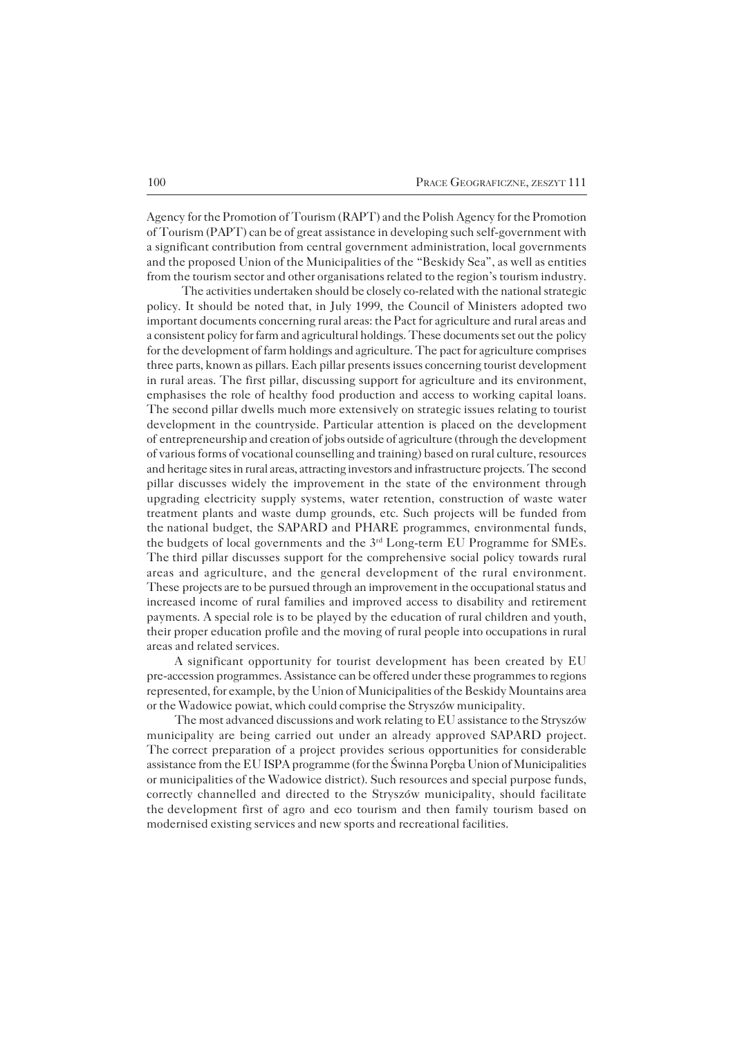Agency for the Promotion of Tourism (RAPT) and the Polish Agency for the Promotion of Tourism (PAPT) can be of great assistance in developing such self−government with a significant contribution from central government administration, local governments and the proposed Union of the Municipalities of the "Beskidy Sea", as well as entities from the tourism sector and other organisations related to the region's tourism industry.

The activities undertaken should be closely co−related with the national strategic policy. It should be noted that, in July 1999, the Council of Ministers adopted two important documents concerning rural areas: the Pact for agriculture and rural areas and a consistent policy for farm and agricultural holdings. These documents set out the policy for the development of farm holdings and agriculture. The pact for agriculture comprises three parts, known as pillars. Each pillar presents issues concerning tourist development in rural areas. The first pillar, discussing support for agriculture and its environment, emphasises the role of healthy food production and access to working capital loans. The second pillar dwells much more extensively on strategic issues relating to tourist development in the countryside. Particular attention is placed on the development ofentrepreneurship and creation of jobs outside of agriculture (through the development of various forms of vocational counselling and training) based on rural culture, resources and heritage sites in rural areas, attracting investors and infrastructure projects. The second pillar discusses widely the improvement in the state of the environment through upgrading electricity supply systems, water retention, construction of waste water treatment plants and waste dump grounds, etc. Such projects will be funded from the national budget, the SAPARD and PHARE programmes, environmental funds, the budgets of local governments and the 3<sup>rd</sup> Long-term EU Programme for SMEs. The third pillar discusses support for the comprehensive social policy towards rural areas and agriculture, and the general development of the rural environment. These projects are to be pursued through an improvement in the occupational status and increased income of rural families and improved access to disability and retirement payments. A special role is to be played by the education of rural children and youth, their proper education profile and the moving of rural people into occupations in rural areas and related services.

A significant opportunity for tourist development has been created by EU pre−accession programmes. Assistance can be offered under these programmes to regions represented, for example, by the Union of Municipalities of the Beskidy Mountains area or the Wadowice powiat, which could comprise the Stryszów municipality.

The most advanced discussions and work relating to EU assistance to the Stryszów municipality are being carried out under an already approved SAPARD project. The correct preparation of a project provides serious opportunities for considerable assistance from the EU ISPA programme (for the Świnna Poręba Union of Municipalities or municipalities of the Wadowice district). Such resources and special purpose funds, correctly channelled and directed to the Stryszów municipality, should facilitate the development first of agro and eco tourism and then family tourism based on modernised existing services and new sports and recreational facilities.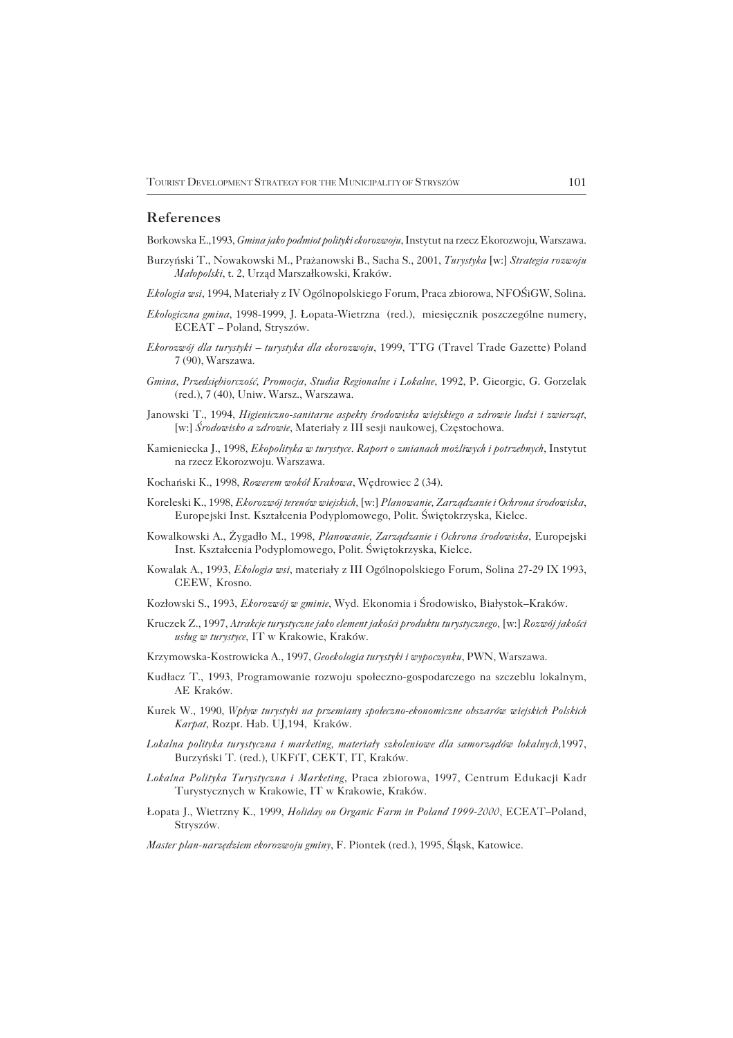#### **References**

Borkowska E.,1993, *Gmina jako podmiot polityki ekorozwoju*, Instytut na rzecz Ekorozwoju, Warszawa.

- Burzyński T., Nowakowski M., Prażanowski B., Sacha S., 2001, *Turystyka* [w:] *Strategia rozwoju Małopolski*, t. 2, Urząd Marszałkowski, Kraków.
- *Ekologia wsi*, 1994, Materiały z IV Ogólnopolskiego Forum, Praca zbiorowa, NFOŚiGW, Solina.
- *Ekologiczna gmina*, 1998−1999, J. Łopata−Wietrzna (red.), miesięcznik poszczególne numery, ECEAT – Poland, Stryszów.
- *Ekorozwój dla turystyki turystyka dla ekorozwoju*, 1999, TTG (Travel Trade Gazette) Poland 7 (90), Warszawa.
- *Gmina, Przedsiębiorczość, Promocja, Studia Regionalne i Lokalne*, 1992, P. Gieorgic, G. Gorzelak (red.), 7 (40), Uniw. Warsz., Warszawa.
- Janowski T., 1994, *Higieniczno−sanitarne aspekty środowiska wiejskiego a zdrowie ludzi i zwierząt,* [w:] *Środowisko a zdrowie*, Materiały z III sesji naukowej, Częstochowa.
- Kamieniecka J., 1998, *Ekopolityka w turystyce. Raport o zmianach możliwych i potrzebnych*, Instytut na rzecz Ekorozwoju. Warszawa.
- Kochański K., 1998, *Rowerem wokół Krakowa*, Wędrowiec 2 (34).
- Koreleski K., 1998, *Ekorozwój terenów wiejskich,* [w:] *Planowanie, Zarządzanie i Ochrona środowiska*, Europejski Inst. Kształcenia Podyplomowego, Polit. Świętokrzyska, Kielce.
- Kowalkowski A., Żygadło M., 1998, *Planowanie, Zarządzanie i Ochrona środowiska*, Europejski Inst. Kształcenia Podyplomowego, Polit. Świętokrzyska, Kielce.
- Kowalak A., 1993, *Ekologia wsi*, materiały z III Ogólnopolskiego Forum, Solina 27−29 IX 1993, CEEW, Krosno.
- Kozłowski S., 1993, *Ekorozwój w gminie*, Wyd. Ekonomia i Środowisko, Białystok–Kraków.
- Kruczek Z., 1997, *Atrakcje turystyczne jako element jakości produktu turystycznego,* [w:] *Rozwój jakości usług w turystyce*, IT w Krakowie, Kraków.
- Krzymowska−Kostrowicka A., 1997, *Geoekologia turystyki i wypoczynku*, PWN, Warszawa.
- Kudłacz T., 1993, Programowanie rozwoju społeczno−gospodarczego na szczeblu lokalnym, AE Kraków.
- Kurek W., 1990, *Wpływ turystyki na przemiany społeczno−ekonomiczne obszarów wiejskich Polskich Karpat*, Rozpr. Hab. UJ,194, Kraków.
- *Lokalna polityka turystyczna i marketing, materiały szkoleniowe dla samorządów lokalnych,*1997, Burzyński T. (red.), UKFiT, CEKT, IT, Kraków.
- *Lokalna Polityka Turystyczna i Marketing*, Praca zbiorowa, 1997, Centrum Edukacji Kadr Turystycznych w Krakowie, IT w Krakowie, Kraków.
- Łopata J., Wietrzny K., 1999, *Holiday on Organic Farm in Poland 1999−2000*, ECEAT–Poland, Stryszów.
- *Master plan−narzędziem ekorozwoju gminy*, F. Piontek (red.), 1995, Śląsk, Katowice.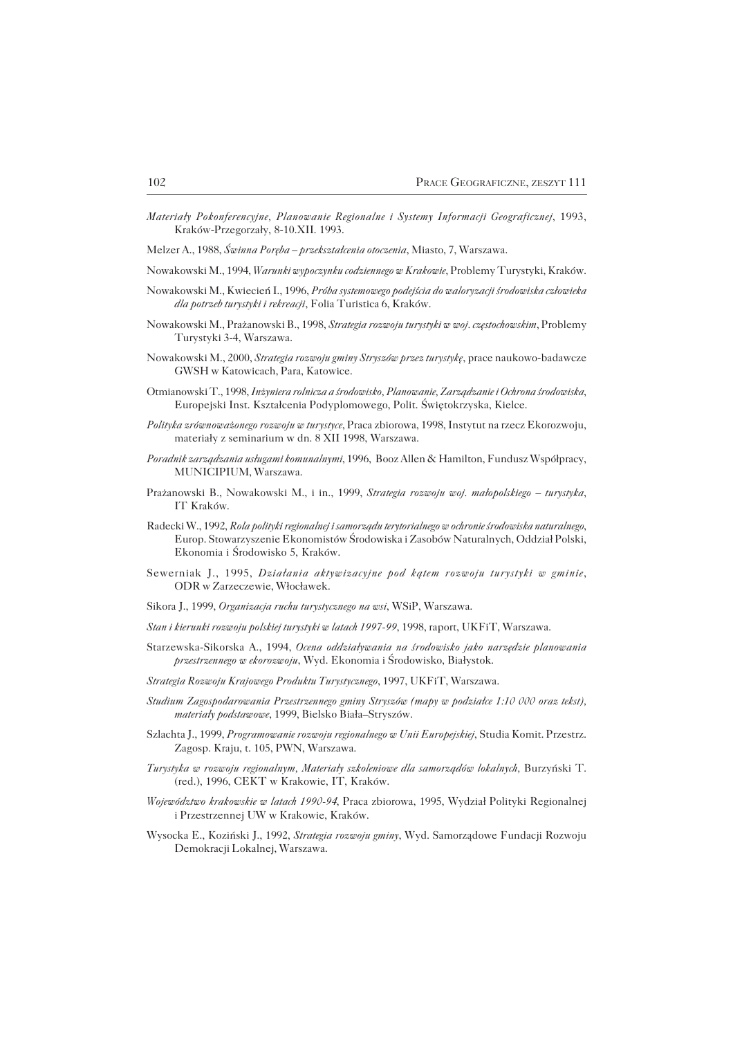*Materiały Pokonferencyjne, Planowanie Regionalne i Systemy Informacji Geograficznej*, 1993, Kraków−Przegorzały, 8−10.XII. 1993.

Melzer A., 1988, *Świnna Poręba – przekształcenia otoczenia*, Miasto, 7, Warszawa.

- Nowakowski M., 1994, *Warunki wypoczynku codziennego w Krakowie*, Problemy Turystyki, Kraków.
- Nowakowski M., Kwiecień I., 1996, *Próba systemowego podejścia do waloryzacji środowiska człowieka dla potrzeb turystyki i rekreacji*, Folia Turistica 6, Kraków.
- Nowakowski M., Prażanowski B., 1998, *Strategia rozwoju turystyki w woj. częstochowskim*, Problemy Turystyki 3−4, Warszawa.
- Nowakowski M., 2000, *Strategia rozwoju gminy Stryszów przez turystykę*, prace naukowo−badawcze GWSH w Katowicach, Para, Katowice.
- Otmianowski T., 1998, *Inżyniera rolnicza a środowisko, Planowanie, Zarządzanie i Ochrona środowiska*, Europejski Inst. Kształcenia Podyplomowego, Polit. Świętokrzyska, Kielce.
- *Polityka zrównoważonego rozwoju w turystyce*, Praca zbiorowa, 1998, Instytut na rzecz Ekorozwoju, materiały z seminarium w dn. 8 XII 1998, Warszawa.
- *Poradnik zarządzania usługami komunalnymi*, 1996, Booz Allen & Hamilton, Fundusz Współpracy, MUNICIPIUM, Warszawa.
- Prażanowski B., Nowakowski M., i in., 1999, *Strategia rozwoju woj. małopolskiego turystyka*, IT Kraków.
- Radecki W., 1992, *Rola polityki regionalnej i samorządu terytorialnego w ochronie środowiska naturalnego*, Europ. Stowarzyszenie Ekonomistów Środowiska i Zasobów Naturalnych, Oddział Polski, Ekonomia i Środowisko 5, Kraków.
- Sewerniak J., 1995, *Działania aktywizacyjne pod kątem rozwoju turystyki w gminie*, ODR w Zarzeczewie, Włocławek.
- Sikora J., 1999, *Organizacja ruchu turystycznego na wsi*, WSiP, Warszawa.
- *Stan i kierunki rozwoju polskiej turystyki w latach 1997−99*, 1998, raport, UKFiT, Warszawa.
- Starzewska−Sikorska A., 1994, *Ocena oddziaływania na środowisko jako narzędzie planowania przestrzennego w ekorozwoju*, Wyd. Ekonomia i Środowisko, Białystok.
- *Strategia Rozwoju Krajowego Produktu Turystycznego*, 1997, UKFiT, Warszawa.
- *Studium Zagospodarowania Przestrzennego gminy Stryszów (mapy w podziałce 1:10 000 oraz tekst), materiały podstawowe*, 1999, Bielsko Biała–Stryszów.
- Szlachta J., 1999, *Programowanie rozwoju regionalnego w Unii Europejskiej*, Studia Komit. Przestrz. Zagosp. Kraju, t. 105, PWN, Warszawa.
- *Turystyka w rozwoju regionalnym, Materiały szkoleniowe dla samorządów lokalnych,* Burzyński T. (red.), 1996, CEKT w Krakowie, IT, Kraków.
- *Województwo krakowskie w latach 1990−94*, Praca zbiorowa, 1995, Wydział Polityki Regionalnej i Przestrzennej UW w Krakowie, Kraków.
- Wysocka E., Koziński J., 1992, *Strategia rozwoju gminy*, Wyd. Samorządowe Fundacji Rozwoju Demokracji Lokalnej, Warszawa.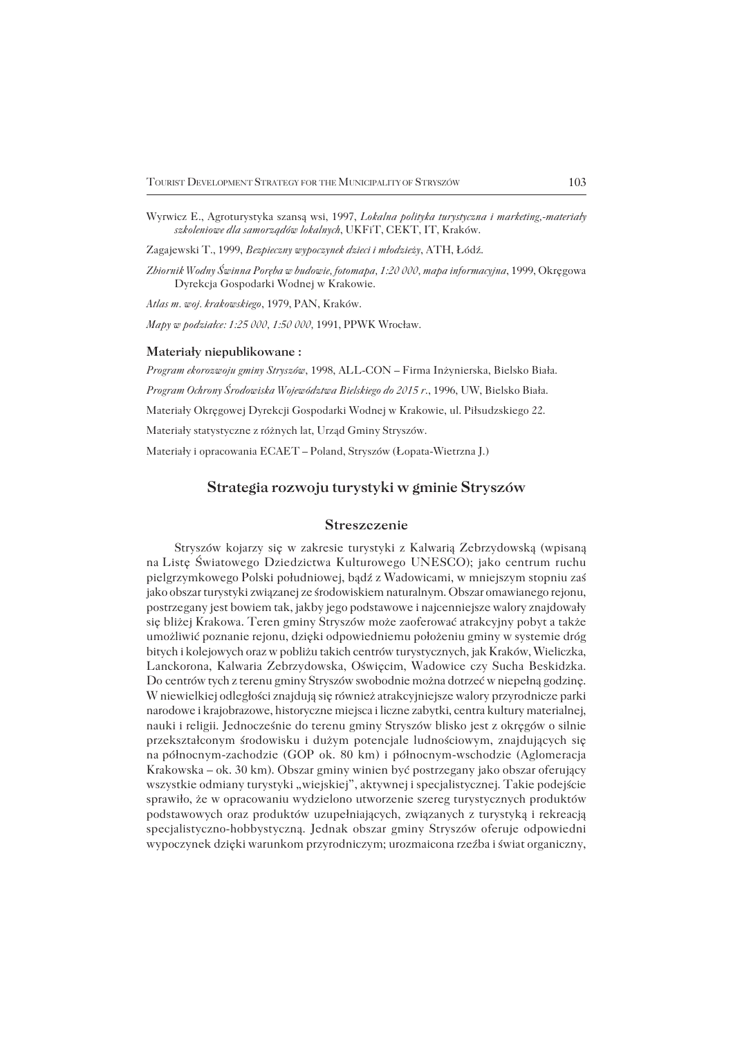Wyrwicz E., Agroturystyka szansą wsi, 1997, *Lokalna polityka turystyczna i marketing,−materiały szkoleniowe dla samorządów lokalnych*, UKFiT, CEKT, IT, Kraków.

Zagajewski T., 1999, *Bezpieczny wypoczynek dzieci i młodzieży*, ATH, Łódź.

*Zbiornik Wodny Świnna Poręba w budowie, fotomapa, 1:20 000, mapa informacyjna*, 1999, Okręgowa Dyrekcja Gospodarki Wodnej w Krakowie.

*Atlas m. woj. krakowskiego*, 1979, PAN, Kraków.

*Mapy w podziałce: 1:25 000, 1:50 000,* 1991, PPWK Wrocław.

#### **Materiały niepublikowane :**

*Program ekorozwoju gminy Stryszów*, 1998, ALL−CON – Firma Inżynierska, Bielsko Biała. *Program Ochrony Środowiska Województwa Bielskiego do 2015 r*., 1996, UW, Bielsko Biała. Materiały Okręgowej Dyrekcji Gospodarki Wodnej w Krakowie, ul. Piłsudzskiego 22. Materiały statystyczne z różnych lat, Urząd Gminy Stryszów. Materiały i opracowania ECAET – Poland, Stryszów (Łopata−Wietrzna J.)

### **Strategia rozwoju turystyki w gminie Stryszów**

#### **Streszczenie**

Stryszów kojarzy się w zakresie turystyki z Kalwarią Zebrzydowską (wpisaną naListę Światowego Dziedzictwa Kulturowego UNESCO); jako centrum ruchu pielgrzymkowego Polski południowej, bądź z Wadowicami, w mniejszym stopniu zaś jako obszar turystyki związanej ze środowiskiem naturalnym. Obszar omawianego rejonu, postrzegany jest bowiem tak, jakby jego podstawowe i najcenniejsze walory znajdowały się bliżej Krakowa. Teren gminy Stryszów może zaoferować atrakcyjny pobyt a także umożliwić poznanie rejonu, dzięki odpowiedniemu położeniu gminy w systemie dróg bitych i kolejowych oraz w pobliżu takich centrów turystycznych, jak Kraków, Wieliczka, Lanckorona, Kalwaria Zebrzydowska, Oświęcim, Wadowice czy Sucha Beskidzka. Docentrów tych z terenu gminy Stryszów swobodnie można dotrzeć w niepełną godzinę. W niewielkiej odległości znajdują się również atrakcyjniejsze walory przyrodnicze parki narodowe i krajobrazowe, historyczne miejsca i liczne zabytki, centra kultury materialnej, nauki i religii. Jednocześnie do terenu gminy Stryszów blisko jest z okręgów o silnie przekształconym środowisku i dużym potencjale ludnościowym, znajdujących się napółnocnym−zachodzie (GOP ok. 80 km) i północnym−wschodzie (Aglomeracja Krakowska – ok. 30 km). Obszar gminy winien być postrzegany jako obszar oferujący wszystkie odmiany turystyki "wiejskiej", aktywnej i specjalistycznej. Takie podejście sprawiło, że w opracowaniu wydzielono utworzenie szereg turystycznych produktów podstawowych oraz produktów uzupełniających, związanych z turystyką i rekreacją specjalistyczno−hobbystyczną. Jednak obszar gminy Stryszów oferuje odpowiedni wypoczynek dzięki warunkom przyrodniczym; urozmaicona rzeźba i świat organiczny,